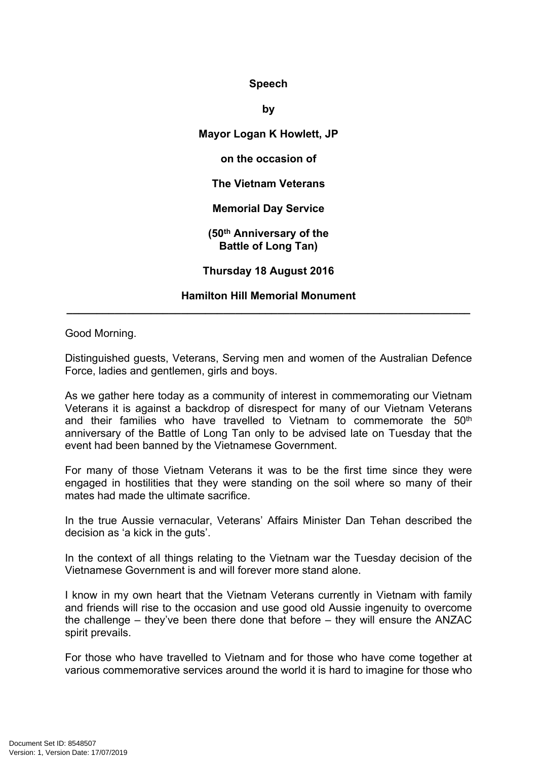## **Speech**

**by**

**Mayor Logan K Howlett, JP on the occasion of The Vietnam Veterans Memorial Day Service (50th Anniversary of the Battle of Long Tan)**

**Thursday 18 August 2016**

## **Hamilton Hill Memorial Monument \_\_\_\_\_\_\_\_\_\_\_\_\_\_\_\_\_\_\_\_\_\_\_\_\_\_\_\_\_\_\_\_\_\_\_\_\_\_\_\_\_\_\_\_\_\_\_\_\_\_\_\_\_\_\_\_\_\_\_\_\_\_\_\_\_\_\_**

Good Morning.

Distinguished guests, Veterans, Serving men and women of the Australian Defence Force, ladies and gentlemen, girls and boys.

As we gather here today as a community of interest in commemorating our Vietnam Veterans it is against a backdrop of disrespect for many of our Vietnam Veterans and their families who have travelled to Vietnam to commemorate the 50<sup>th</sup> anniversary of the Battle of Long Tan only to be advised late on Tuesday that the event had been banned by the Vietnamese Government.

For many of those Vietnam Veterans it was to be the first time since they were engaged in hostilities that they were standing on the soil where so many of their mates had made the ultimate sacrifice.

In the true Aussie vernacular, Veterans' Affairs Minister Dan Tehan described the decision as 'a kick in the guts'.

In the context of all things relating to the Vietnam war the Tuesday decision of the Vietnamese Government is and will forever more stand alone.

I know in my own heart that the Vietnam Veterans currently in Vietnam with family and friends will rise to the occasion and use good old Aussie ingenuity to overcome the challenge – they've been there done that before – they will ensure the ANZAC spirit prevails.

For those who have travelled to Vietnam and for those who have come together at various commemorative services around the world it is hard to imagine for those who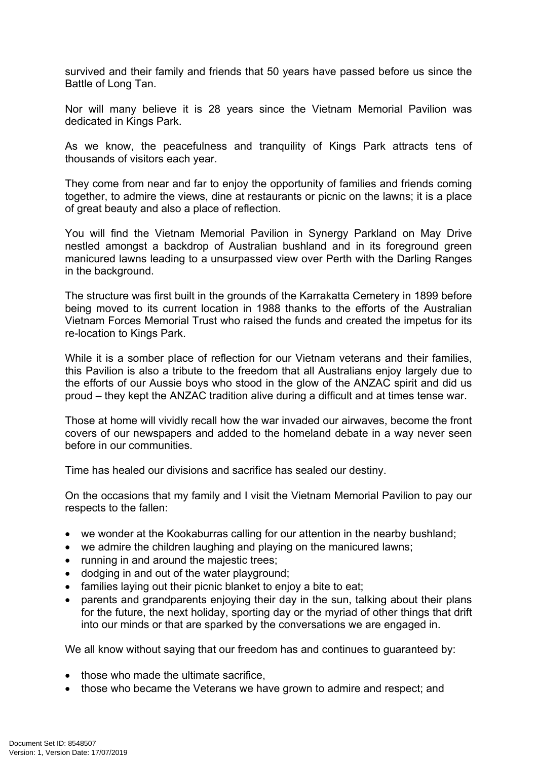survived and their family and friends that 50 years have passed before us since the Battle of Long Tan.

Nor will many believe it is 28 years since the Vietnam Memorial Pavilion was dedicated in Kings Park.

As we know, the peacefulness and tranquility of Kings Park attracts tens of thousands of visitors each year.

They come from near and far to enjoy the opportunity of families and friends coming together, to admire the views, dine at restaurants or picnic on the lawns; it is a place of great beauty and also a place of reflection.

You will find the Vietnam Memorial Pavilion in Synergy Parkland on May Drive nestled amongst a backdrop of Australian bushland and in its foreground green manicured lawns leading to a unsurpassed view over Perth with the Darling Ranges in the background.

The structure was first built in the grounds of the Karrakatta Cemetery in 1899 before being moved to its current location in 1988 thanks to the efforts of the Australian Vietnam Forces Memorial Trust who raised the funds and created the impetus for its re-location to Kings Park.

While it is a somber place of reflection for our Vietnam veterans and their families, this Pavilion is also a tribute to the freedom that all Australians enjoy largely due to the efforts of our Aussie boys who stood in the glow of the ANZAC spirit and did us proud – they kept the ANZAC tradition alive during a difficult and at times tense war.

Those at home will vividly recall how the war invaded our airwaves, become the front covers of our newspapers and added to the homeland debate in a way never seen before in our communities.

Time has healed our divisions and sacrifice has sealed our destiny.

On the occasions that my family and I visit the Vietnam Memorial Pavilion to pay our respects to the fallen:

- we wonder at the Kookaburras calling for our attention in the nearby bushland;
- we admire the children laughing and playing on the manicured lawns;
- running in and around the majestic trees;
- dodging in and out of the water playground;
- families laying out their picnic blanket to enjoy a bite to eat;
- parents and grandparents enjoying their day in the sun, talking about their plans for the future, the next holiday, sporting day or the myriad of other things that drift into our minds or that are sparked by the conversations we are engaged in.

We all know without saying that our freedom has and continues to quaranteed by:

- those who made the ultimate sacrifice,
- those who became the Veterans we have grown to admire and respect; and